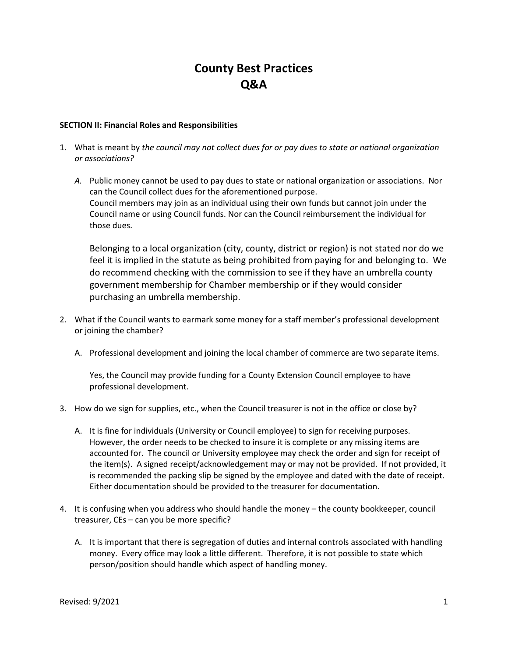# **County Best Practices Q&A**

### **SECTION II: Financial Roles and Responsibilities**

- 1. What is meant by *the council may not collect dues for or pay dues to state or national organization or associations?* 
	- *A.* Public money cannot be used to pay dues to state or national organization or associations. Nor can the Council collect dues for the aforementioned purpose. Council members may join as an individual using their own funds but cannot join under the Council name or using Council funds. Nor can the Council reimbursement the individual for those dues.

Belonging to a local organization (city, county, district or region) is not stated nor do we feel it is implied in the statute as being prohibited from paying for and belonging to. We do recommend checking with the commission to see if they have an umbrella county government membership for Chamber membership or if they would consider purchasing an umbrella membership.

- 2. What if the Council wants to earmark some money for a staff member's professional development or joining the chamber?
	- A. Professional development and joining the local chamber of commerce are two separate items.

Yes, the Council may provide funding for a County Extension Council employee to have professional development.

- 3. How do we sign for supplies, etc., when the Council treasurer is not in the office or close by?
	- A. It is fine for individuals (University or Council employee) to sign for receiving purposes. However, the order needs to be checked to insure it is complete or any missing items are accounted for. The council or University employee may check the order and sign for receipt of the item(s). A signed receipt/acknowledgement may or may not be provided. If not provided, it is recommended the packing slip be signed by the employee and dated with the date of receipt. Either documentation should be provided to the treasurer for documentation.
- 4. It is confusing when you address who should handle the money the county bookkeeper, council treasurer, CEs – can you be more specific?
	- A. It is important that there is segregation of duties and internal controls associated with handling money. Every office may look a little different. Therefore, it is not possible to state which person/position should handle which aspect of handling money.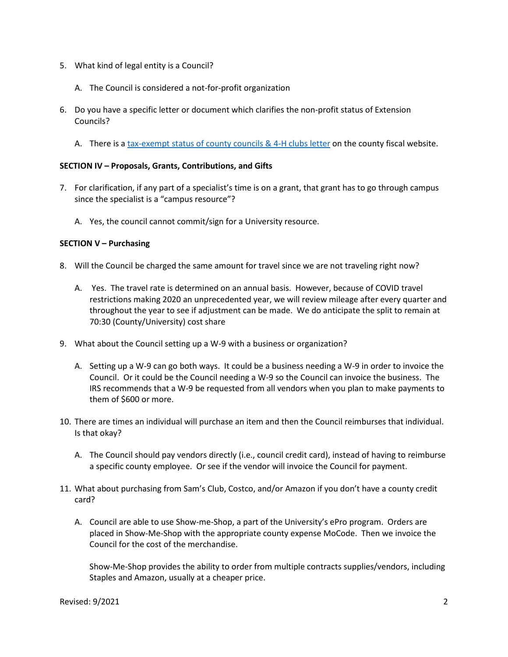- 5. What kind of legal entity is a Council?
	- A. The Council is considered a not-for-profit organization
- 6. Do you have a specific letter or document which clarifies the non-profit status of Extension Councils?
	- A. There is [a tax-exempt status of county councils & 4-H clubs letter](https://extensiondata.missouri.edu/ExtensionWay/Docs/fin-4-HTaxExemptConfirmation.pdf) on the county fiscal website.

## **SECTION IV – Proposals, Grants, Contributions, and Gifts**

- 7. For clarification, if any part of a specialist's time is on a grant, that grant has to go through campus since the specialist is a "campus resource"?
	- A. Yes, the council cannot commit/sign for a University resource.

## **SECTION V – Purchasing**

- 8. Will the Council be charged the same amount for travel since we are not traveling right now?
	- A. Yes. The travel rate is determined on an annual basis. However, because of COVID travel restrictions making 2020 an unprecedented year, we will review mileage after every quarter and throughout the year to see if adjustment can be made. We do anticipate the split to remain at 70:30 (County/University) cost share
- 9. What about the Council setting up a W-9 with a business or organization?
	- A. Setting up a W-9 can go both ways. It could be a business needing a W-9 in order to invoice the Council. Or it could be the Council needing a W-9 so the Council can invoice the business. The IRS recommends that a W-9 be requested from all vendors when you plan to make payments to them of \$600 or more.
- 10. There are times an individual will purchase an item and then the Council reimburses that individual. Is that okay?
	- A. The Council should pay vendors directly (i.e., council credit card), instead of having to reimburse a specific county employee. Or see if the vendor will invoice the Council for payment.
- 11. What about purchasing from Sam's Club, Costco, and/or Amazon if you don't have a county credit card?
	- A. Council are able to use Show-me-Shop, a part of the University's ePro program. Orders are placed in Show-Me-Shop with the appropriate county expense MoCode. Then we invoice the Council for the cost of the merchandise.

Show-Me-Shop provides the ability to order from multiple contracts supplies/vendors, including Staples and Amazon, usually at a cheaper price.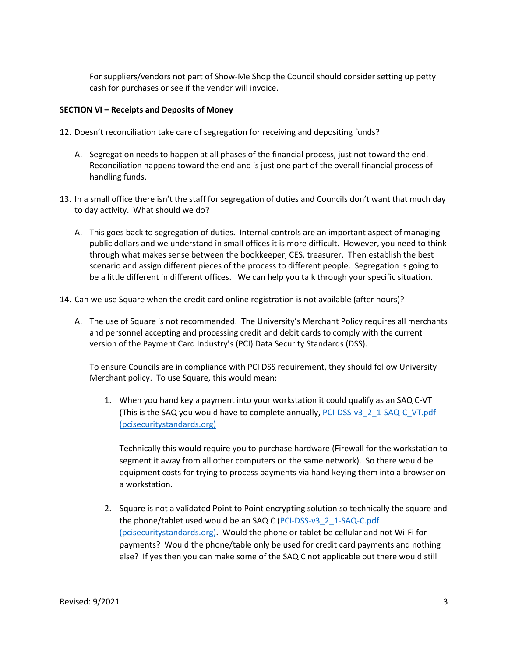For suppliers/vendors not part of Show-Me Shop the Council should consider setting up petty cash for purchases or see if the vendor will invoice.

## **SECTION VI – Receipts and Deposits of Money**

- 12. Doesn't reconciliation take care of segregation for receiving and depositing funds?
	- A. Segregation needs to happen at all phases of the financial process, just not toward the end. Reconciliation happens toward the end and is just one part of the overall financial process of handling funds.
- 13. In a small office there isn't the staff for segregation of duties and Councils don't want that much day to day activity. What should we do?
	- A. This goes back to segregation of duties. Internal controls are an important aspect of managing public dollars and we understand in small offices it is more difficult. However, you need to think through what makes sense between the bookkeeper, CES, treasurer. Then establish the best scenario and assign different pieces of the process to different people. Segregation is going to be a little different in different offices. We can help you talk through your specific situation.
- 14. Can we use Square when the credit card online registration is not available (after hours)?
	- A. The use of Square is not recommended. The University's Merchant Policy requires all merchants and personnel accepting and processing credit and debit cards to comply with the current version of the Payment Card Industry's (PCI) Data Security Standards (DSS).

To ensure Councils are in compliance with PCI DSS requirement, they should follow University Merchant policy. To use Square, this would mean:

1. When you hand key a payment into your workstation it could qualify as an SAQ C-VT (This is the SAQ you would have to complete annually, [PCI-DSS-v3\\_2\\_1-SAQ-C\\_VT.pdf](https://nam02.safelinks.protection.outlook.com/?url=https%3A%2F%2Fwww.pcisecuritystandards.org%2Fdocuments%2FPCI-DSS-v3_2_1-SAQ-C_VT.pdf%3Fagreement%3Dtrue%26time%3D1610636696690&data=04%7C01%7C%7C6d534b2033374447145408d9454c7bc2%7Ce3fefdbef7e9401ba51a355e01b05a89%7C0%7C0%7C637617017055167299%7CUnknown%7CTWFpbGZsb3d8eyJWIjoiMC4wLjAwMDAiLCJQIjoiV2luMzIiLCJBTiI6Ik1haWwiLCJXVCI6Mn0%3D%7C1000&sdata=DRppUcsj5%2BkrxvsjwfkXHIJ%2Bji0apI6reRHaLQfuWEQ%3D&reserved=0)  [\(pcisecuritystandards.org\)](https://nam02.safelinks.protection.outlook.com/?url=https%3A%2F%2Fwww.pcisecuritystandards.org%2Fdocuments%2FPCI-DSS-v3_2_1-SAQ-C_VT.pdf%3Fagreement%3Dtrue%26time%3D1610636696690&data=04%7C01%7C%7C6d534b2033374447145408d9454c7bc2%7Ce3fefdbef7e9401ba51a355e01b05a89%7C0%7C0%7C637617017055167299%7CUnknown%7CTWFpbGZsb3d8eyJWIjoiMC4wLjAwMDAiLCJQIjoiV2luMzIiLCJBTiI6Ik1haWwiLCJXVCI6Mn0%3D%7C1000&sdata=DRppUcsj5%2BkrxvsjwfkXHIJ%2Bji0apI6reRHaLQfuWEQ%3D&reserved=0)

Technically this would require you to purchase hardware (Firewall for the workstation to segment it away from all other computers on the same network). So there would be equipment costs for trying to process payments via hand keying them into a browser on a workstation.

2. Square is not a validated Point to Point encrypting solution so technically the square and the phone/tablet used would be an SAQ C [\(PCI-DSS-v3\\_2\\_1-SAQ-C.pdf](https://nam02.safelinks.protection.outlook.com/?url=https%3A%2F%2Fwww.pcisecuritystandards.org%2Fdocuments%2FPCI-DSS-v3_2_1-SAQ-C.pdf%3Fagreement%3Dtrue%26time%3D1610636696708&data=04%7C01%7C%7C6d534b2033374447145408d9454c7bc2%7Ce3fefdbef7e9401ba51a355e01b05a89%7C0%7C0%7C637617017055177257%7CUnknown%7CTWFpbGZsb3d8eyJWIjoiMC4wLjAwMDAiLCJQIjoiV2luMzIiLCJBTiI6Ik1haWwiLCJXVCI6Mn0%3D%7C1000&sdata=GlaKeZSXIwnC0oOcrYespF2iDJijFVrlJ6MR65JQNf8%3D&reserved=0)  [\(pcisecuritystandards.org\).](https://nam02.safelinks.protection.outlook.com/?url=https%3A%2F%2Fwww.pcisecuritystandards.org%2Fdocuments%2FPCI-DSS-v3_2_1-SAQ-C.pdf%3Fagreement%3Dtrue%26time%3D1610636696708&data=04%7C01%7C%7C6d534b2033374447145408d9454c7bc2%7Ce3fefdbef7e9401ba51a355e01b05a89%7C0%7C0%7C637617017055177257%7CUnknown%7CTWFpbGZsb3d8eyJWIjoiMC4wLjAwMDAiLCJQIjoiV2luMzIiLCJBTiI6Ik1haWwiLCJXVCI6Mn0%3D%7C1000&sdata=GlaKeZSXIwnC0oOcrYespF2iDJijFVrlJ6MR65JQNf8%3D&reserved=0) Would the phone or tablet be cellular and not Wi-Fi for payments? Would the phone/table only be used for credit card payments and nothing else? If yes then you can make some of the SAQ C not applicable but there would still